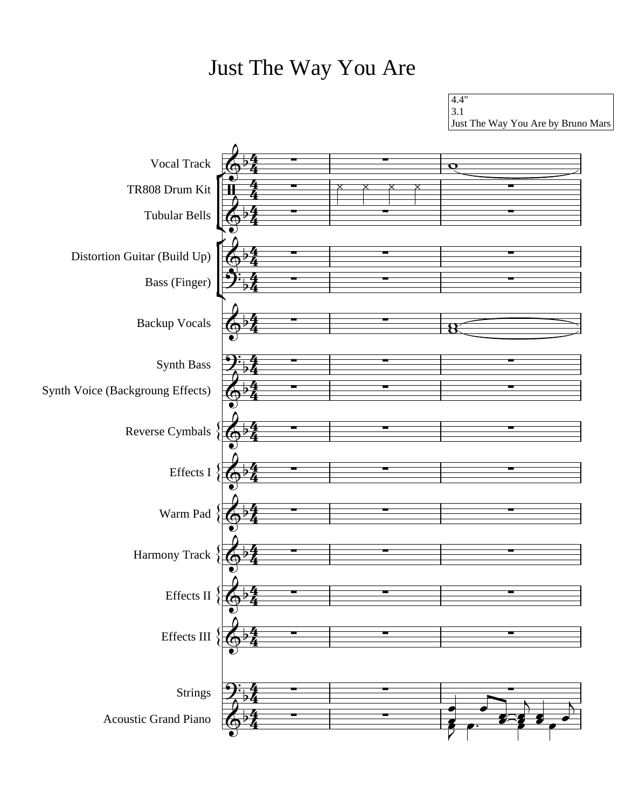Just The Way You Are

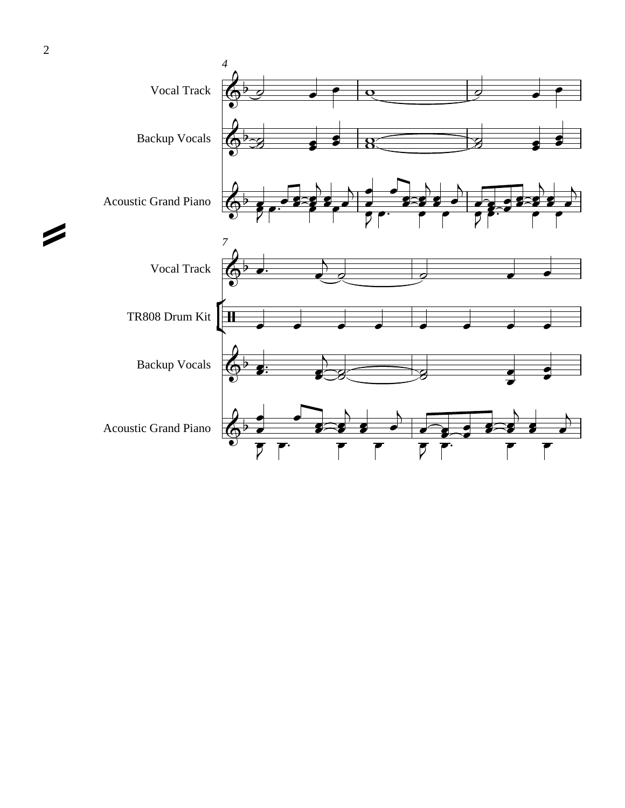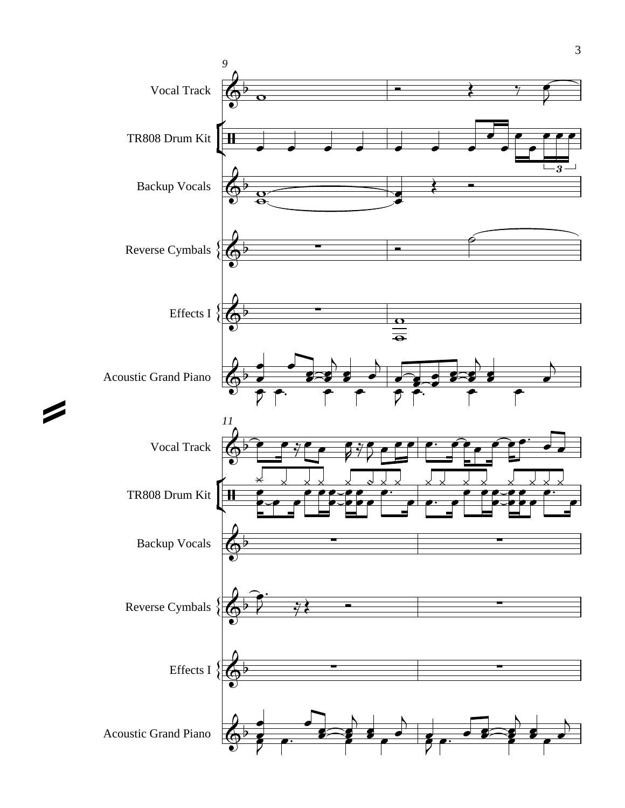

 $\blacktriangleright$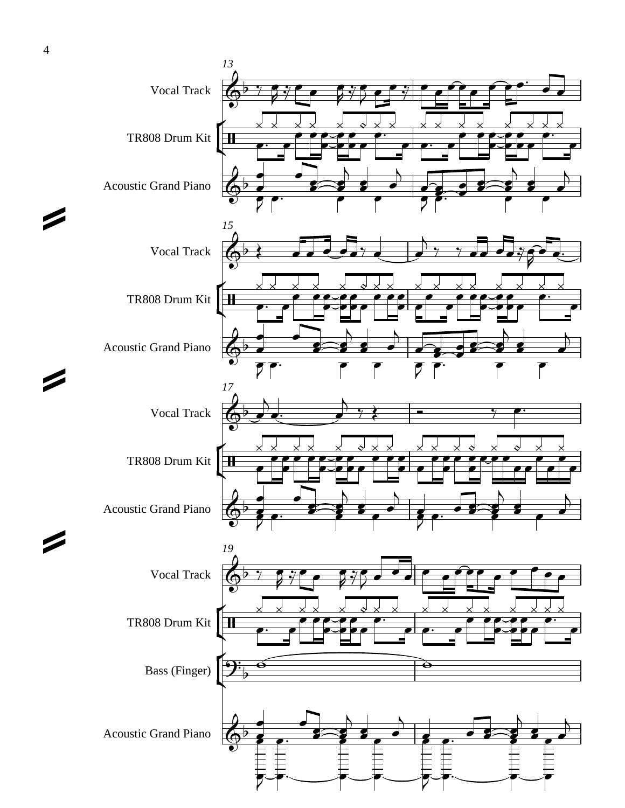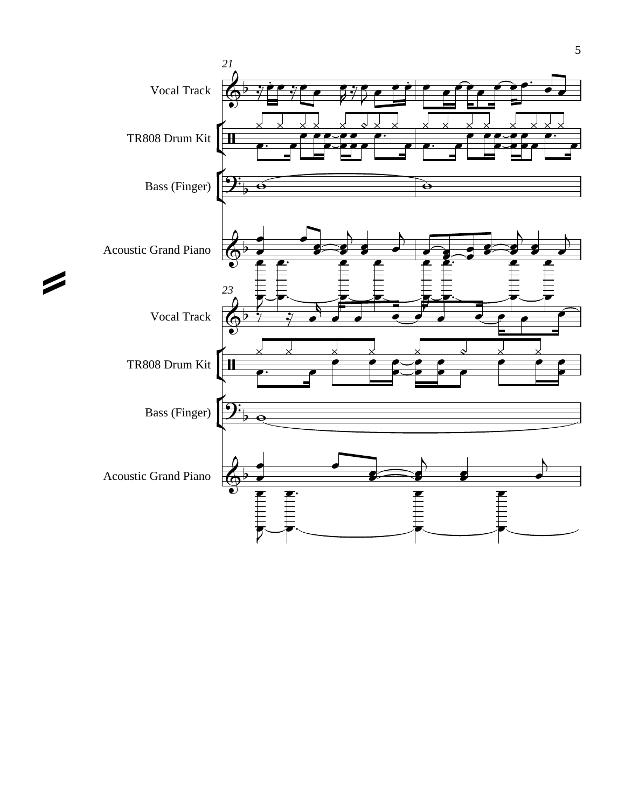

 $\overline{\phantom{a}}$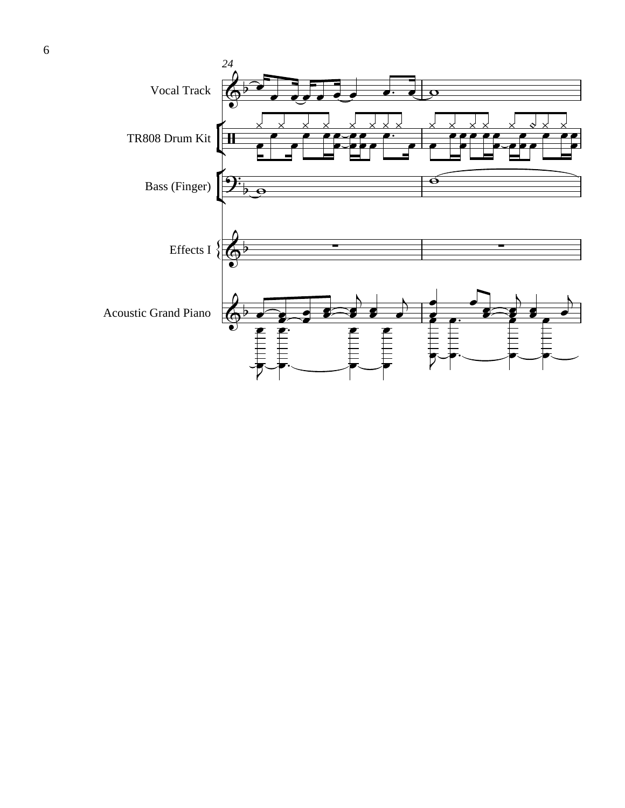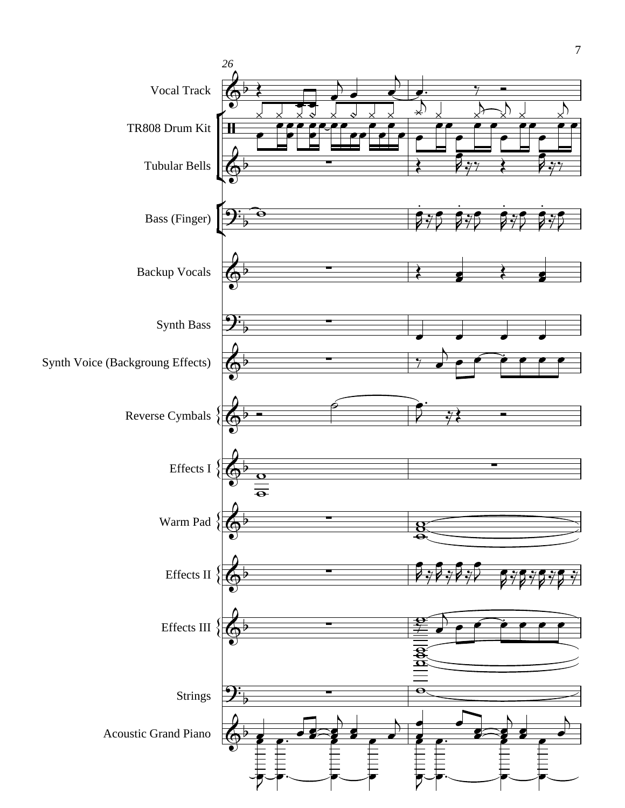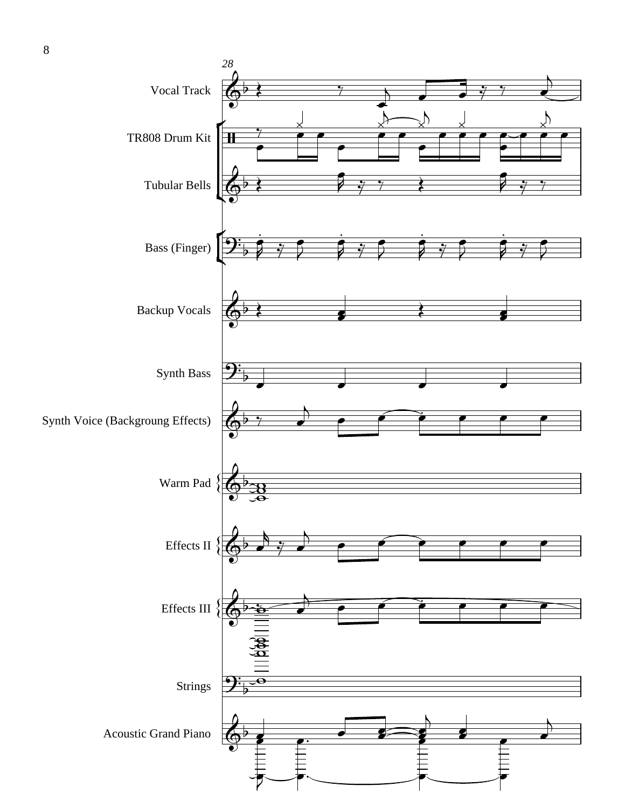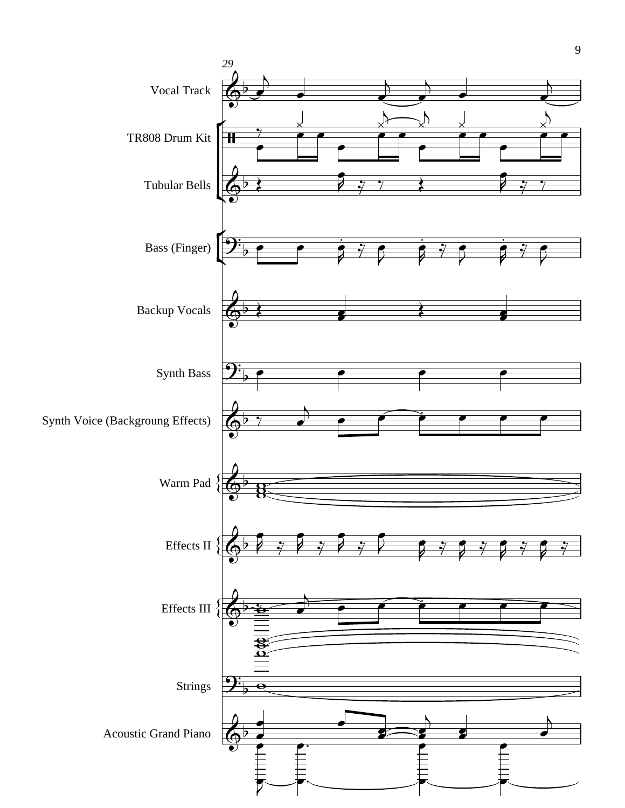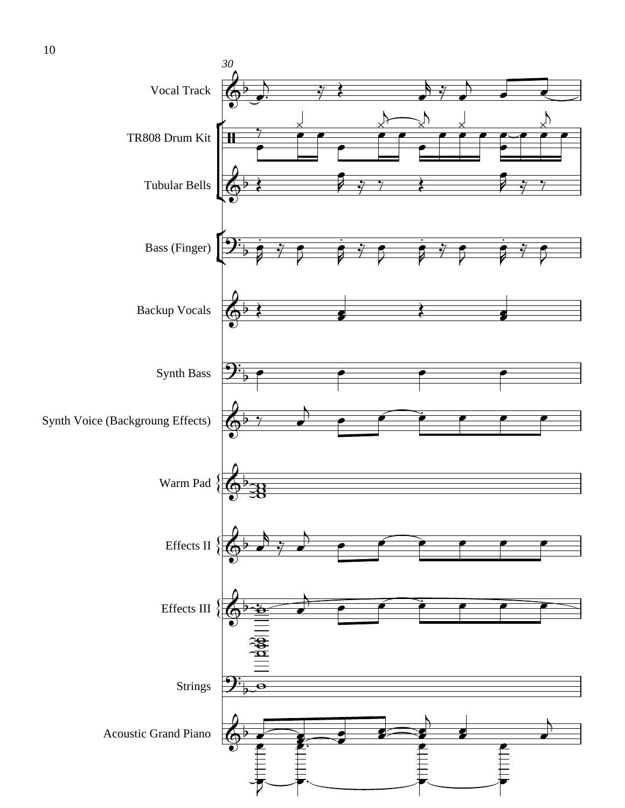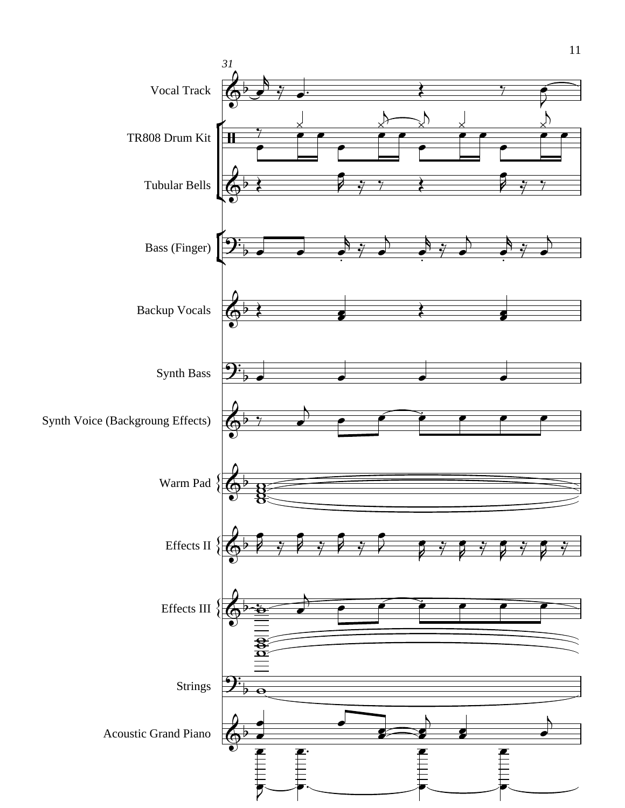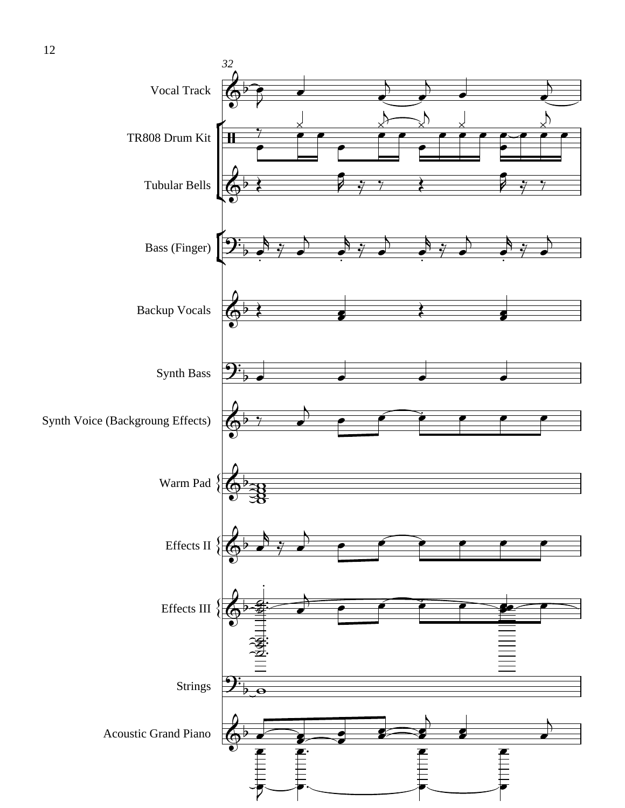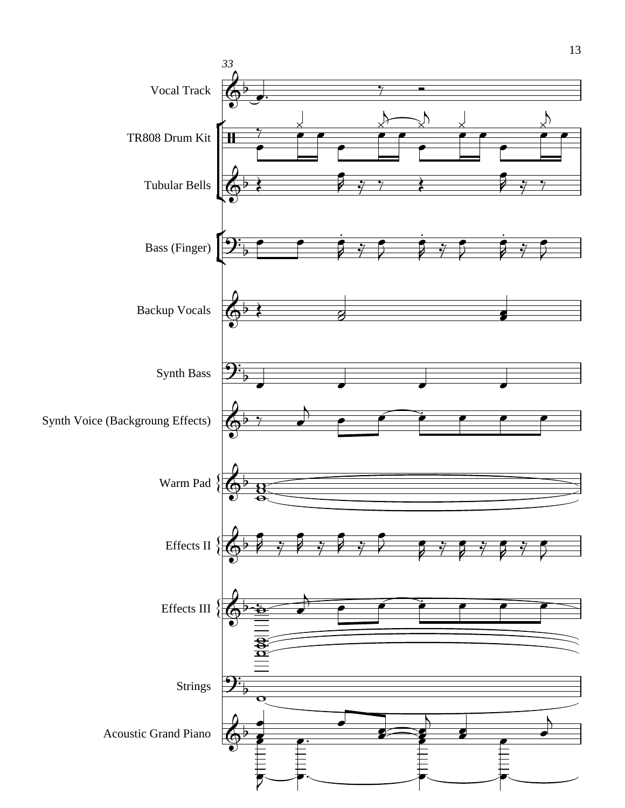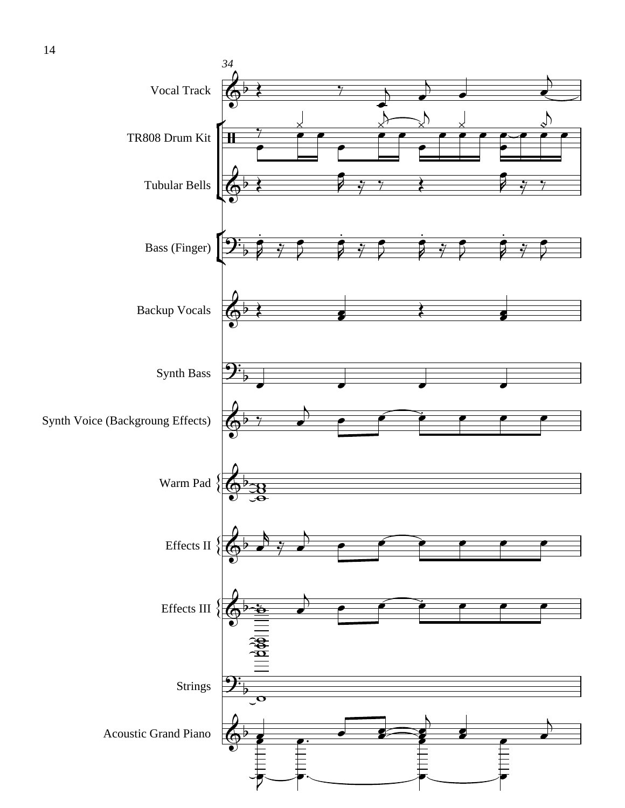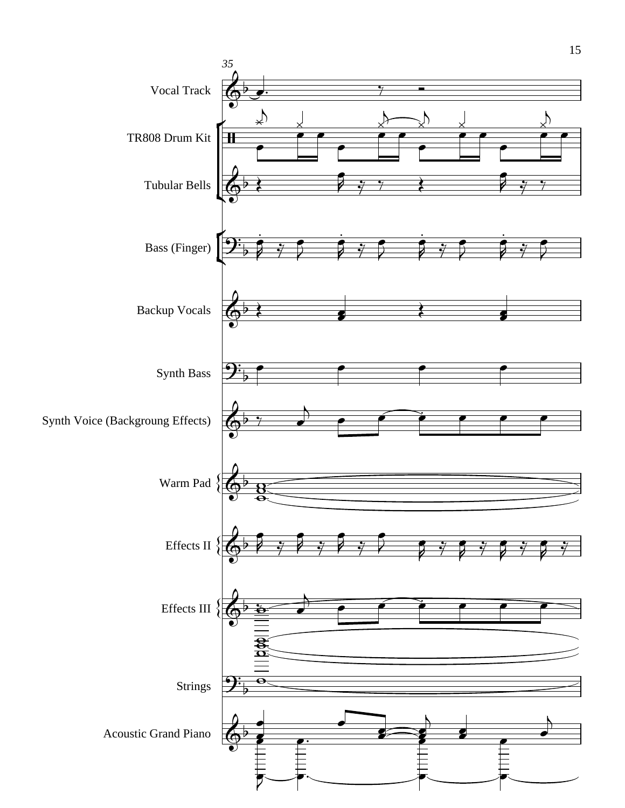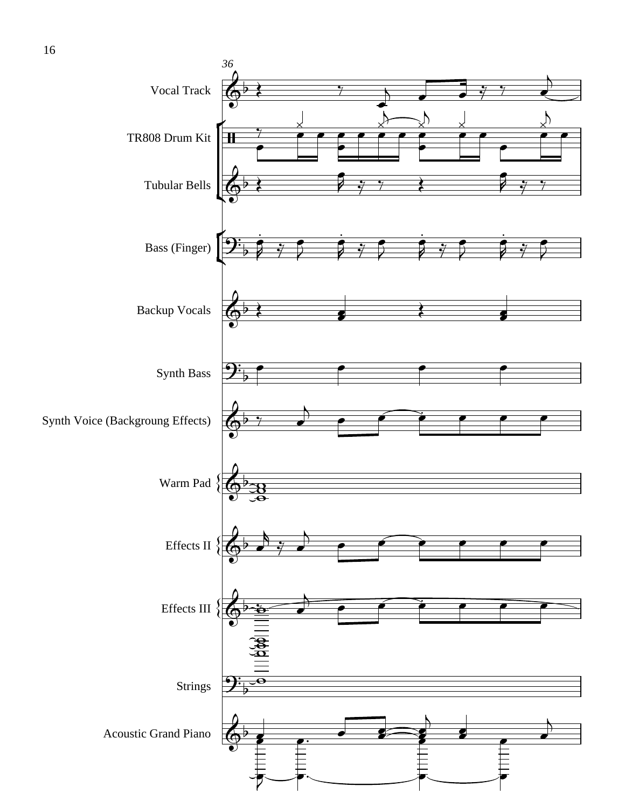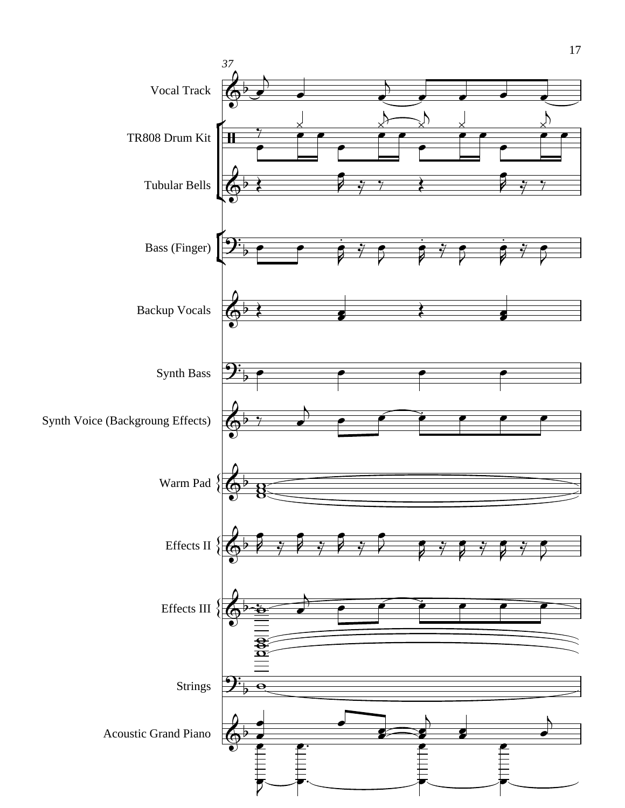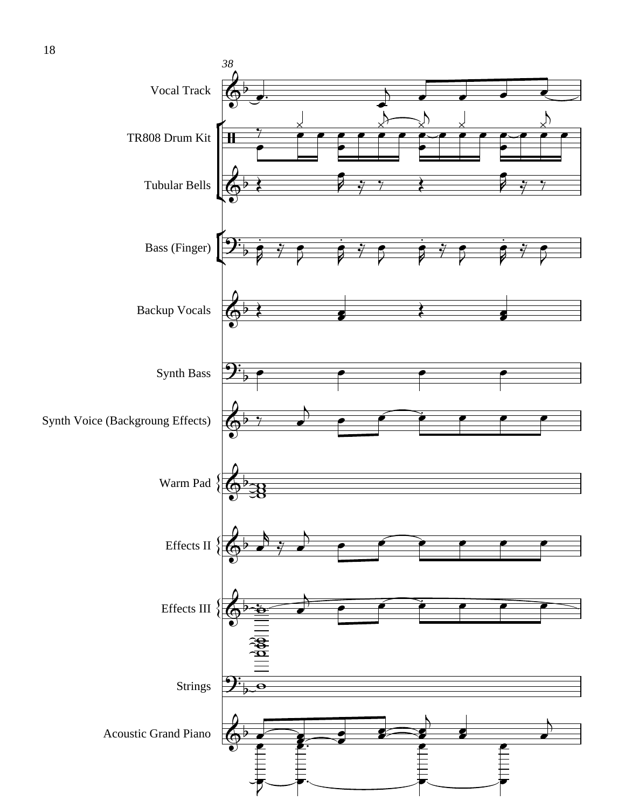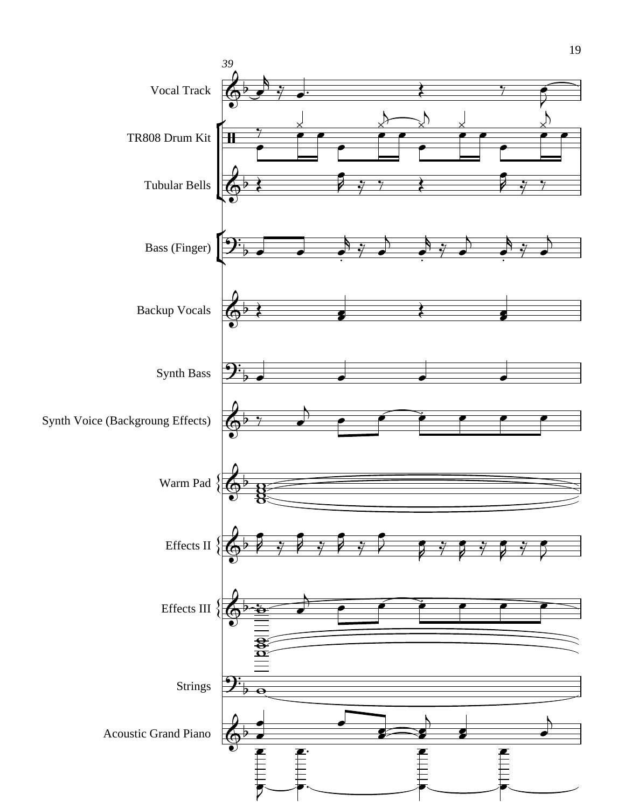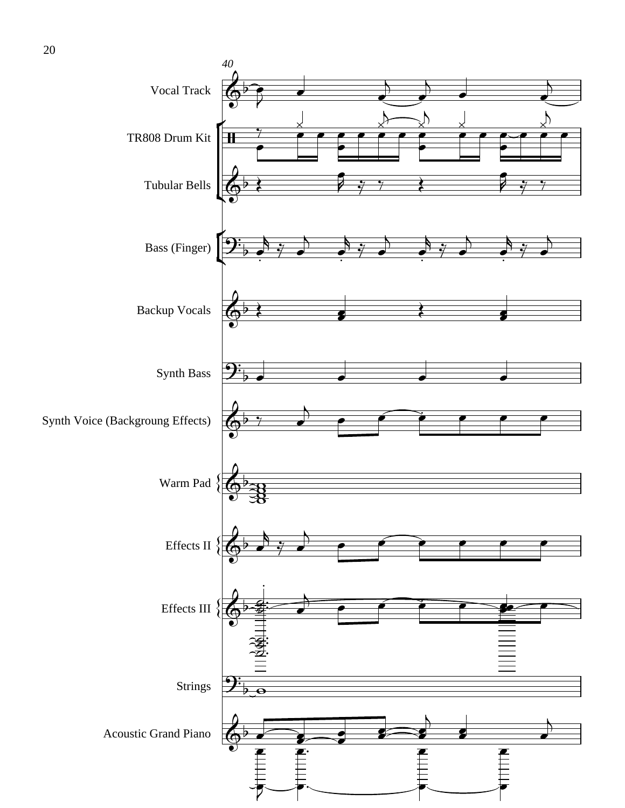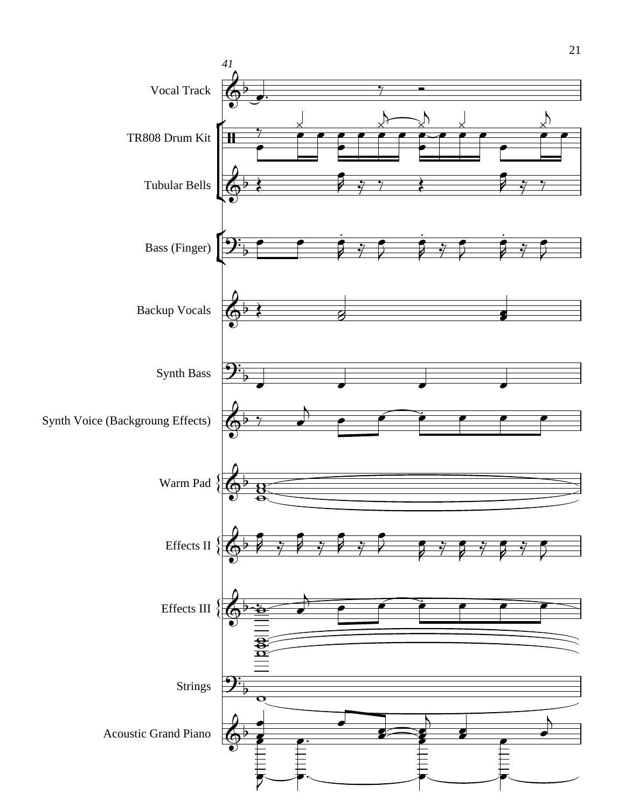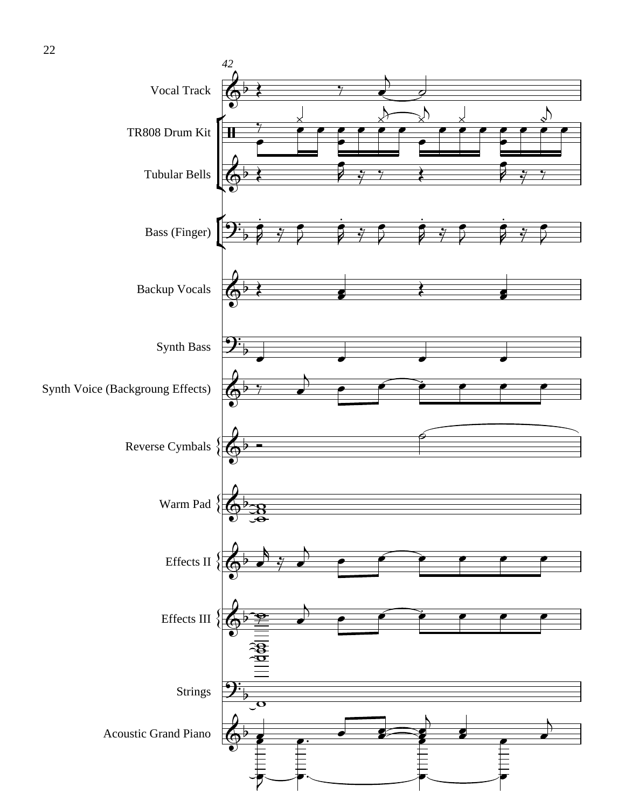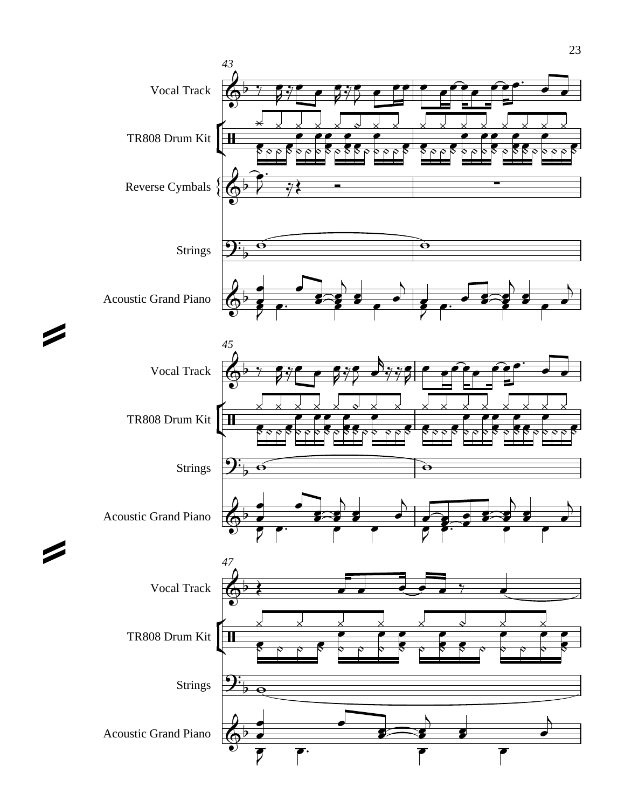

 $\blacktriangleright$ 

 $\blacktriangleright$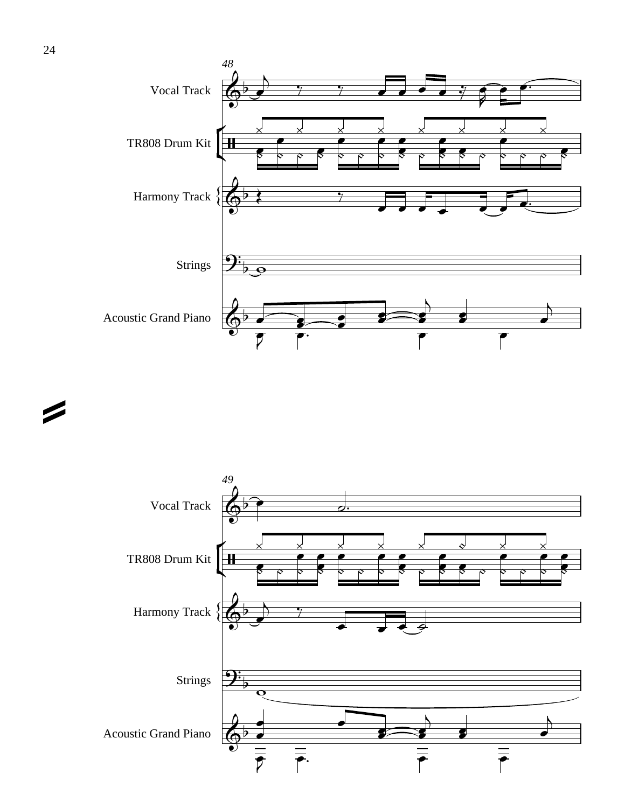



24

 $\overline{\phantom{a}}$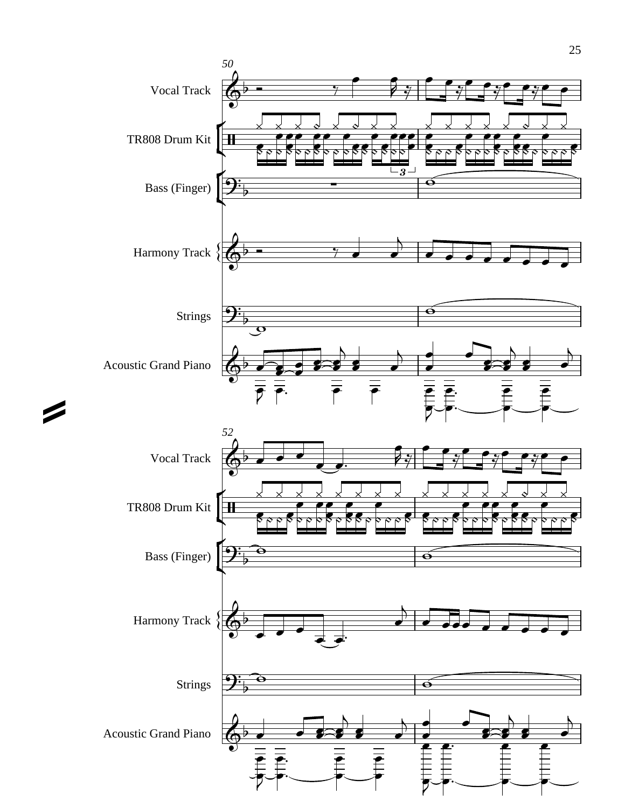

 $\overline{\phantom{a}}$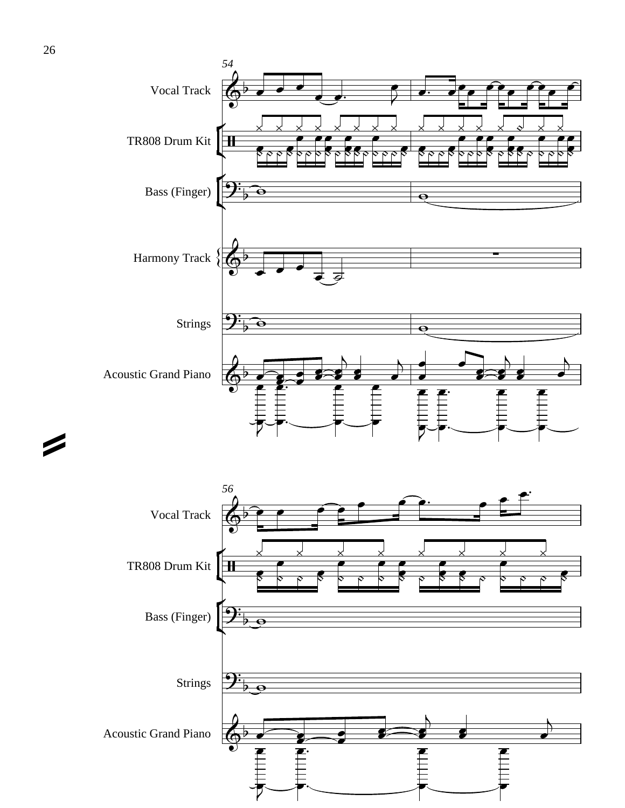



 $\boldsymbol{z}$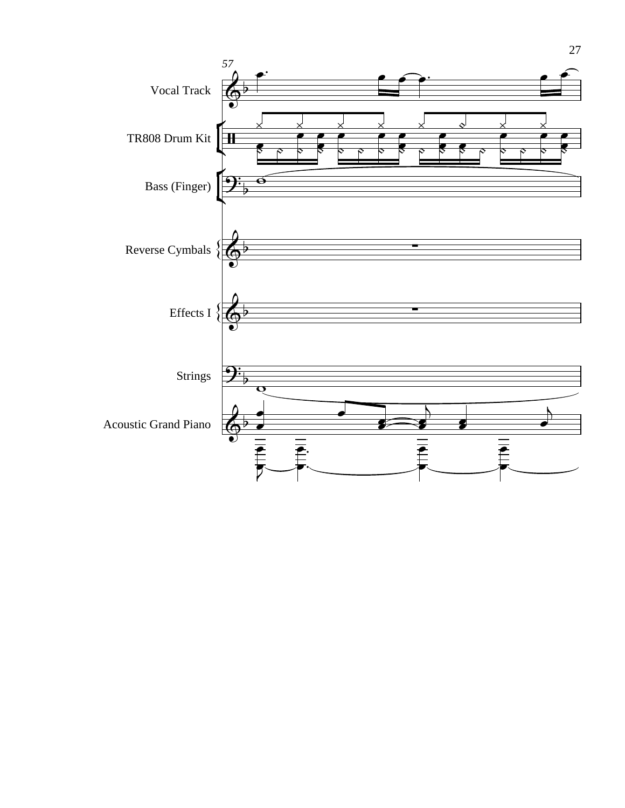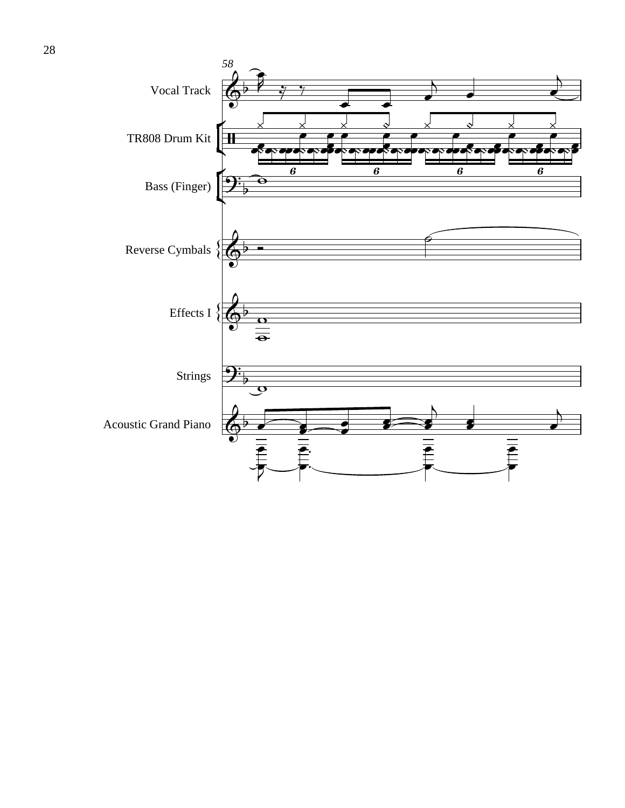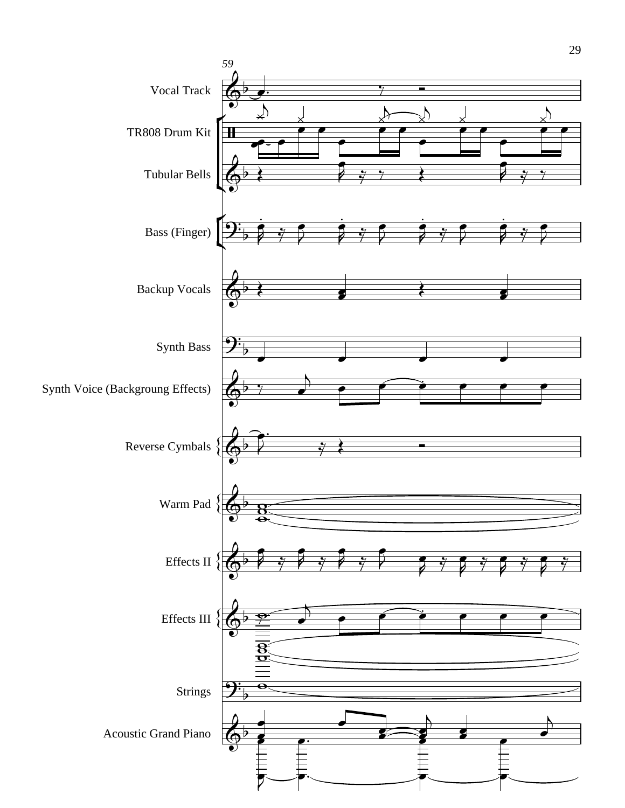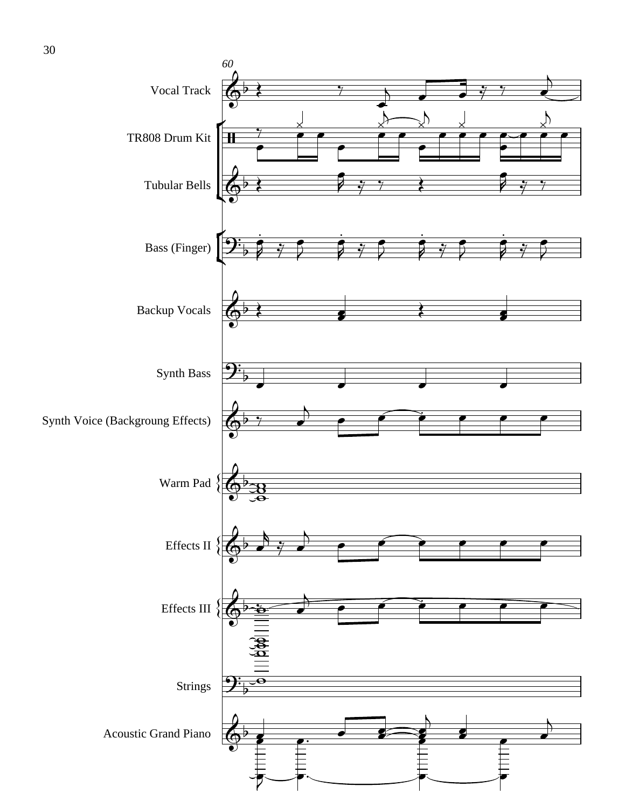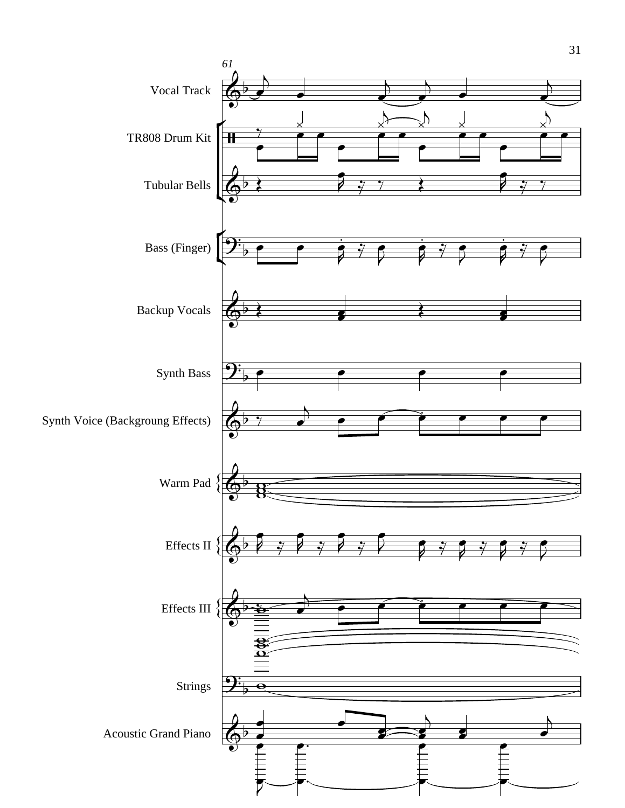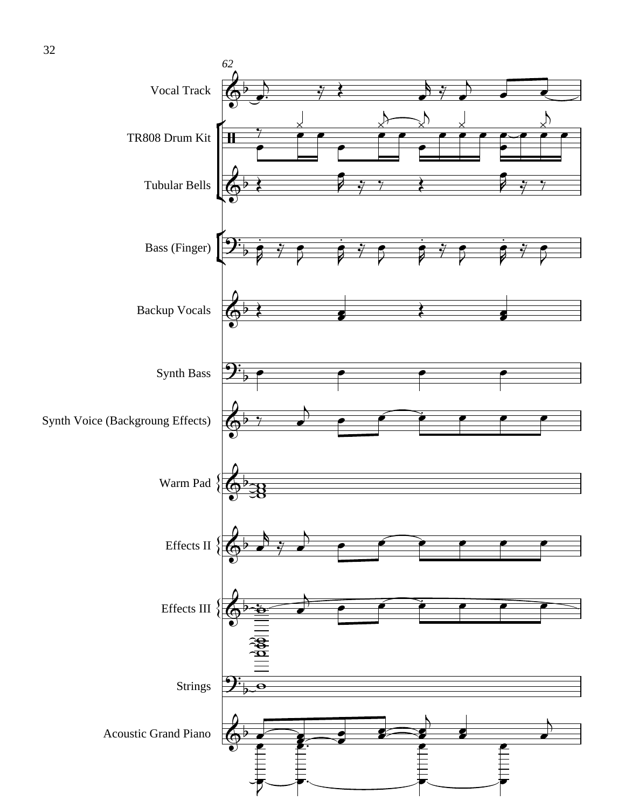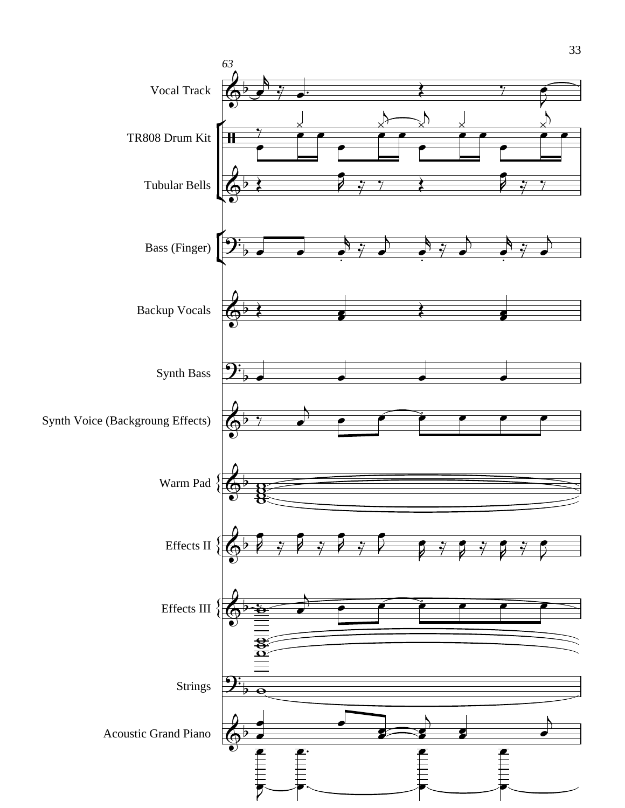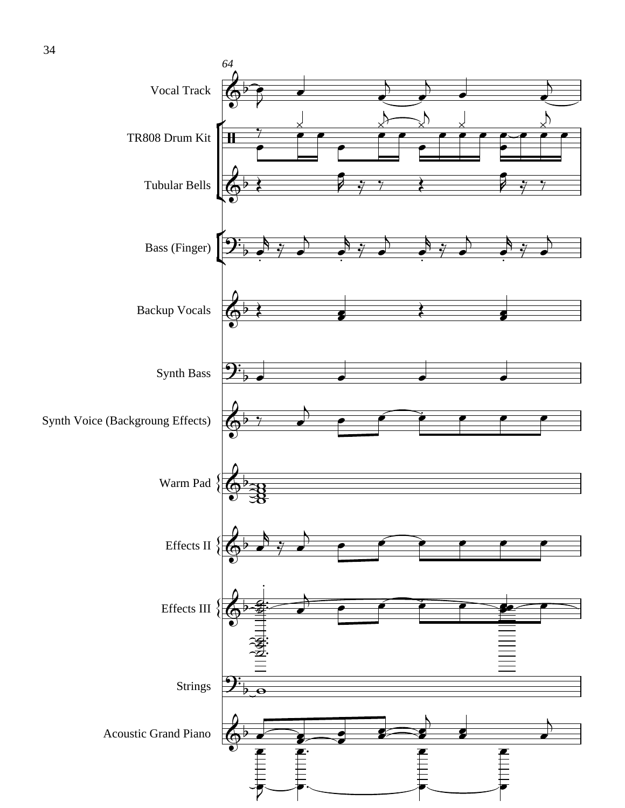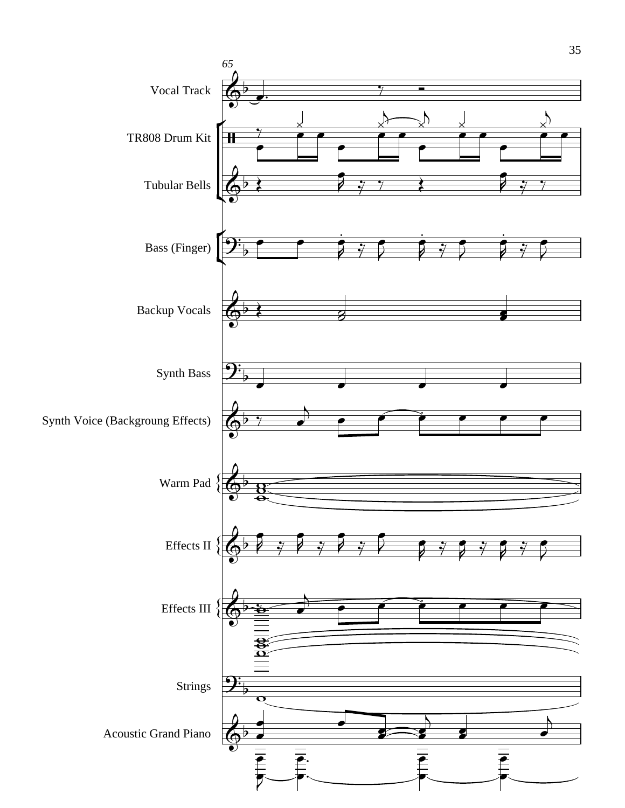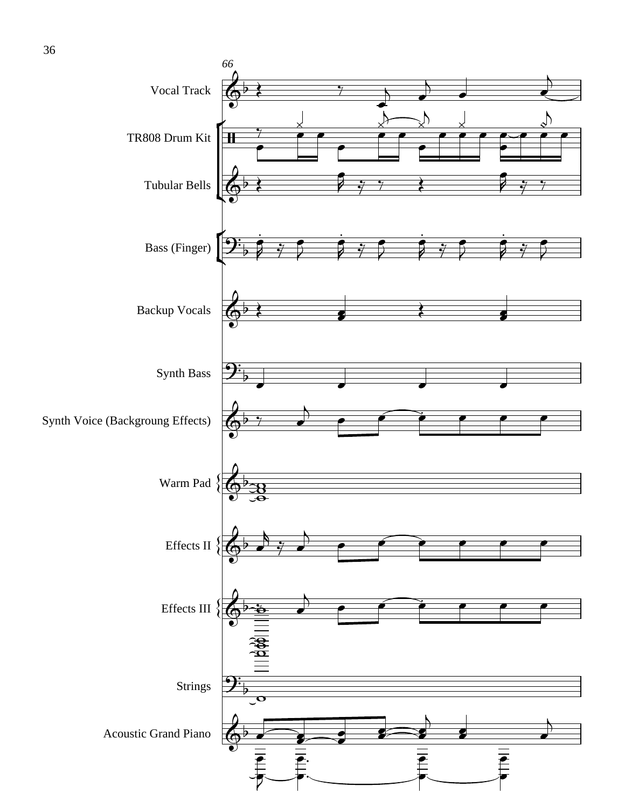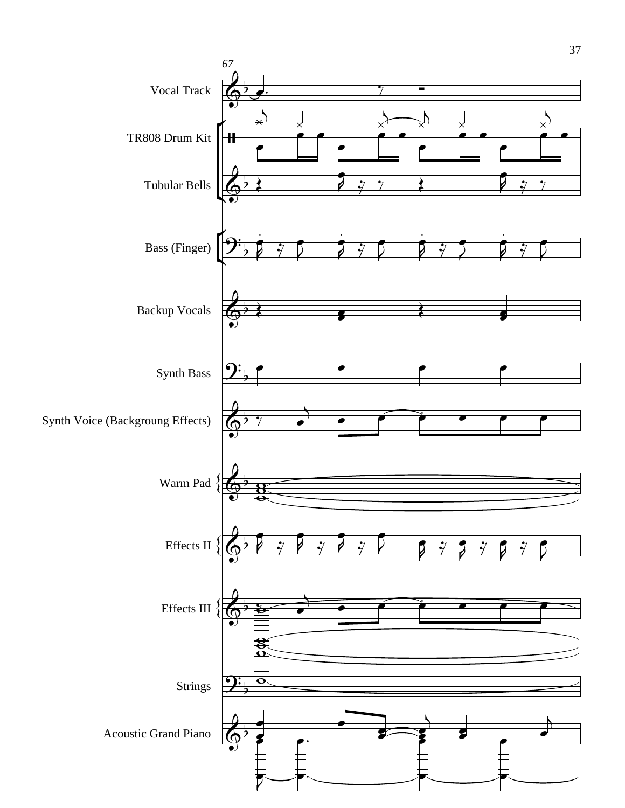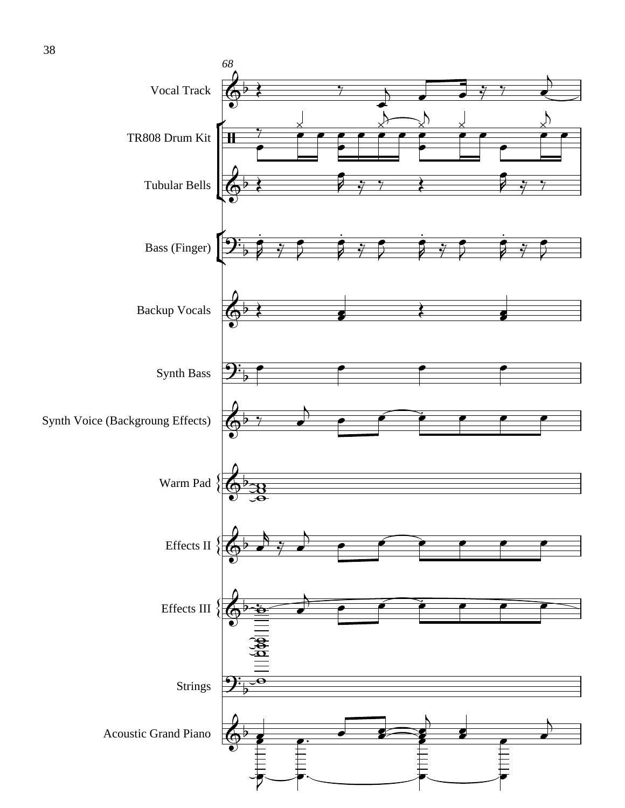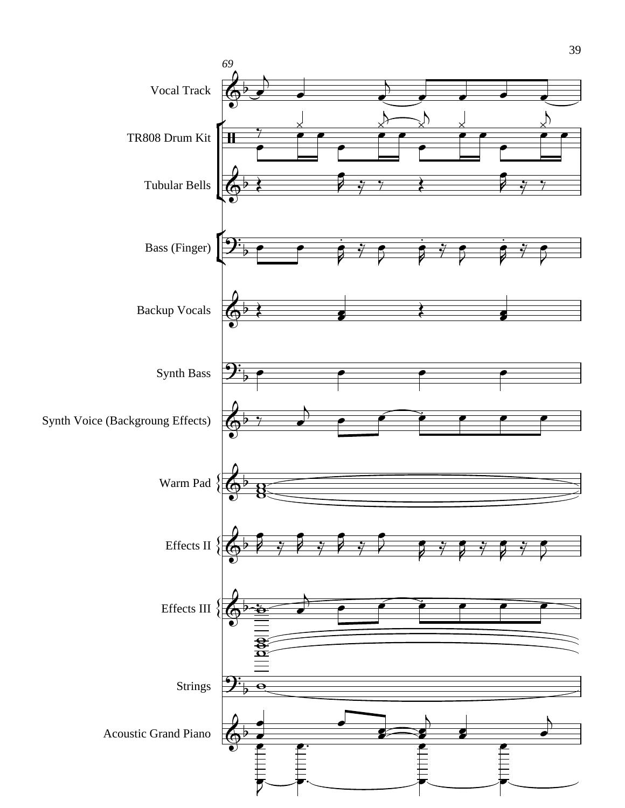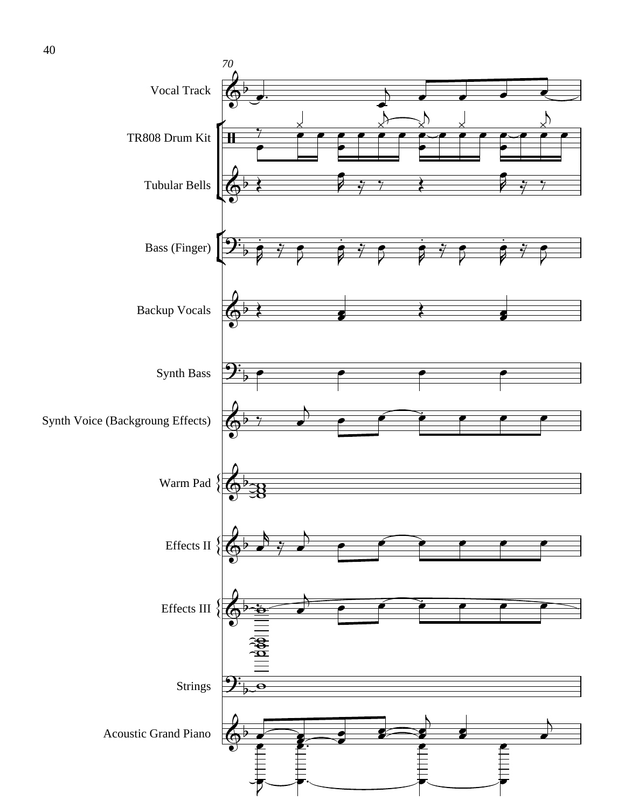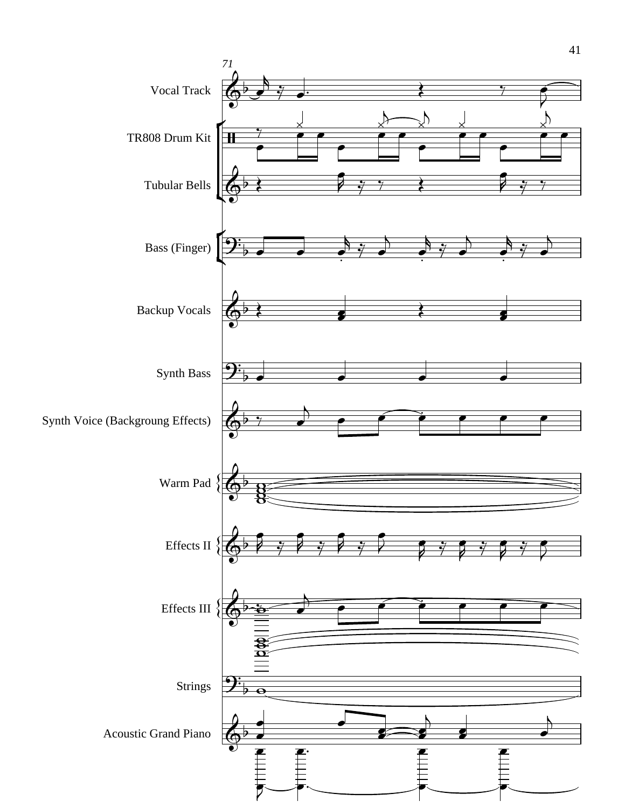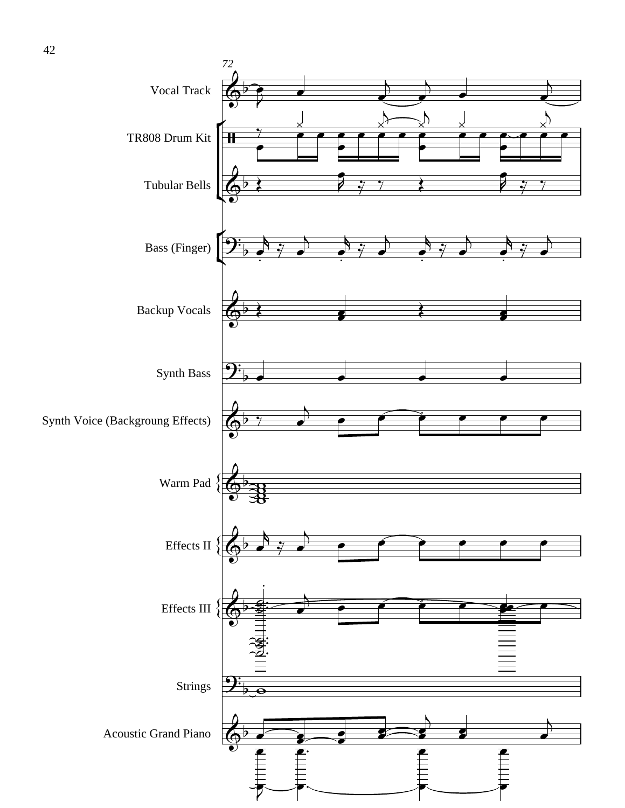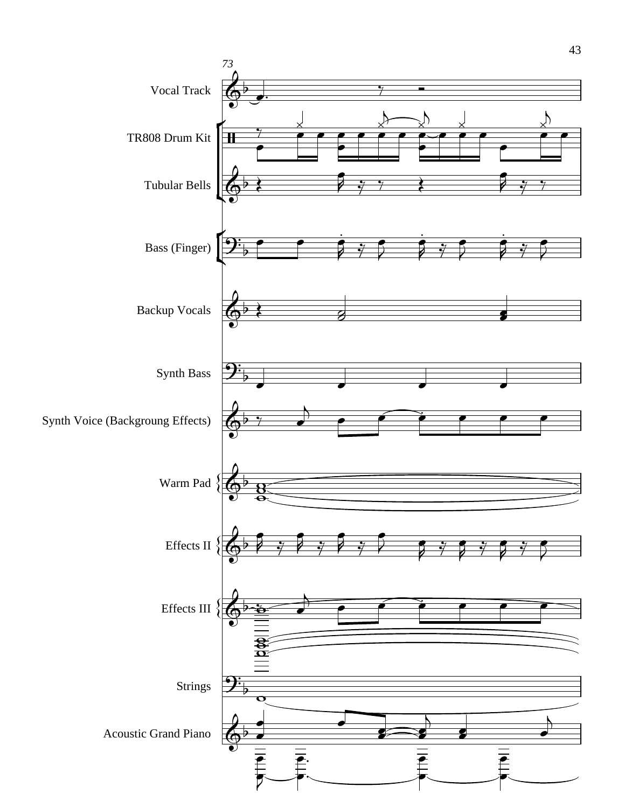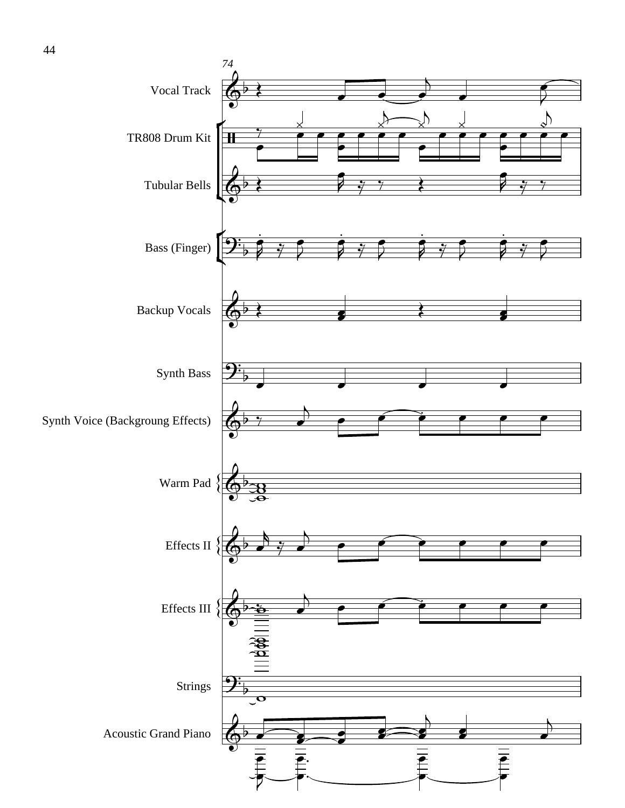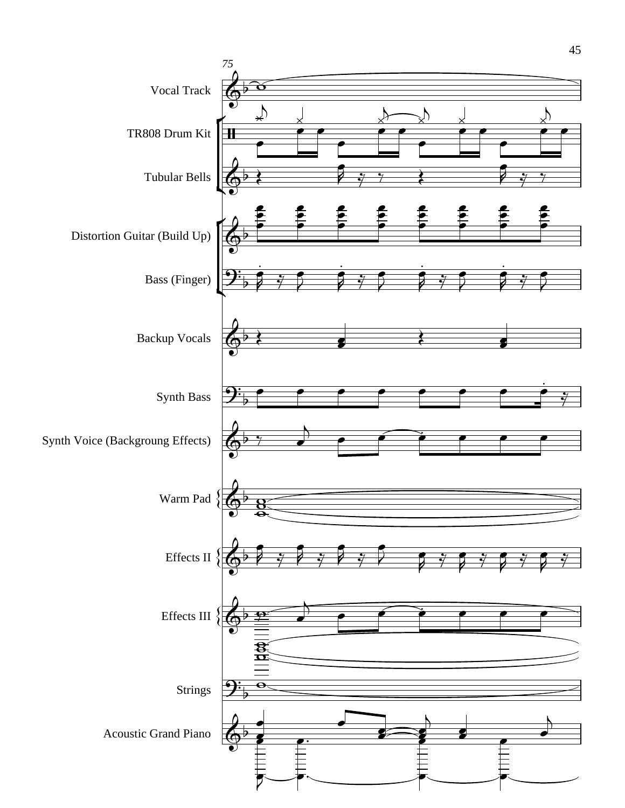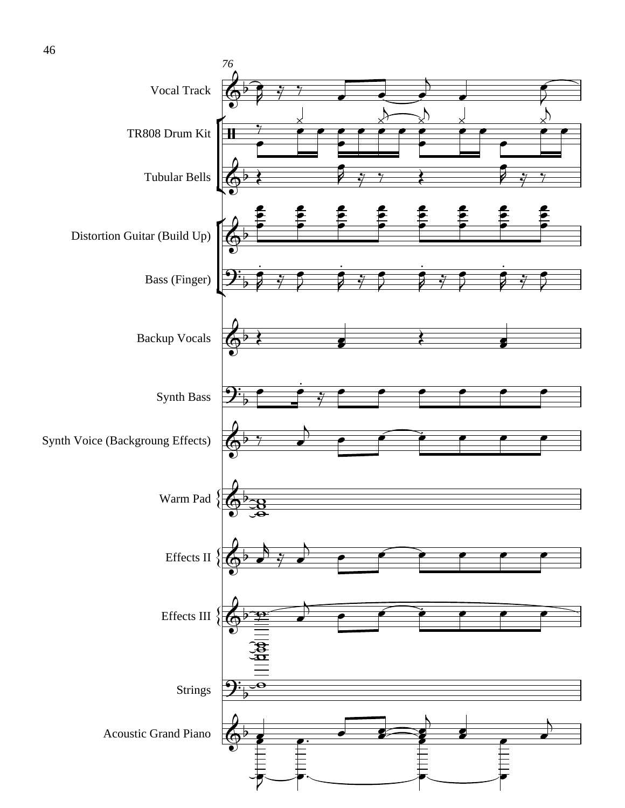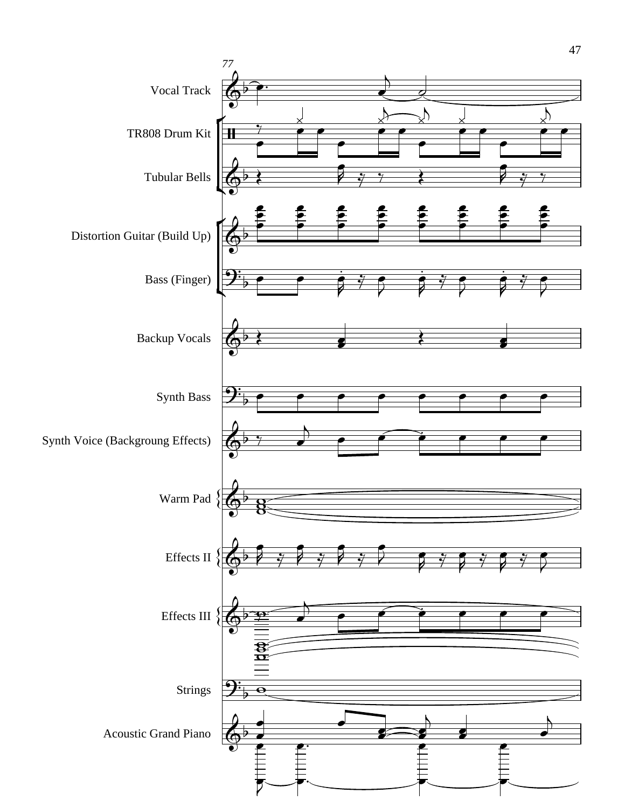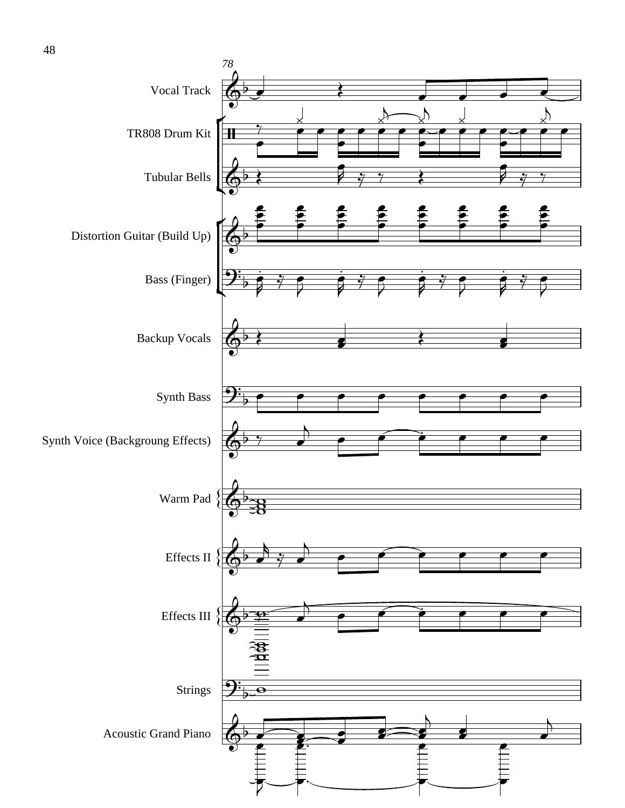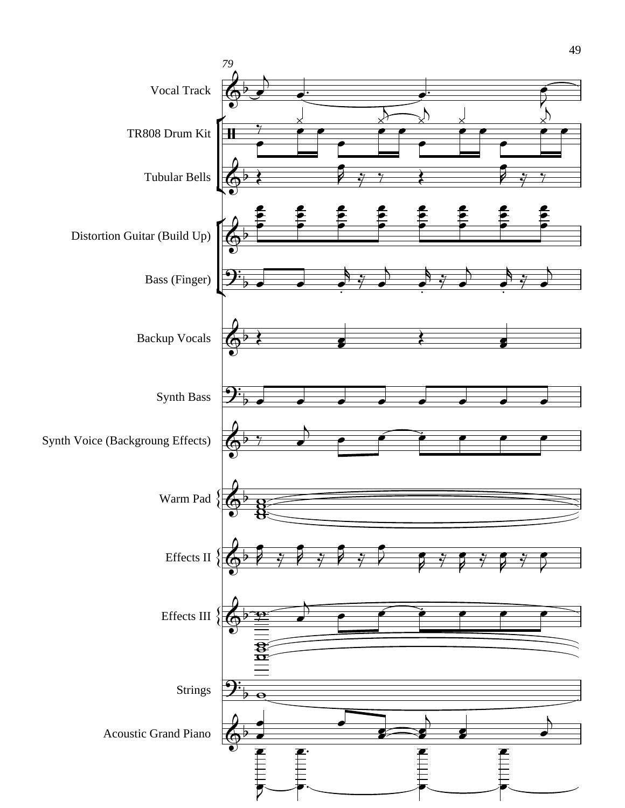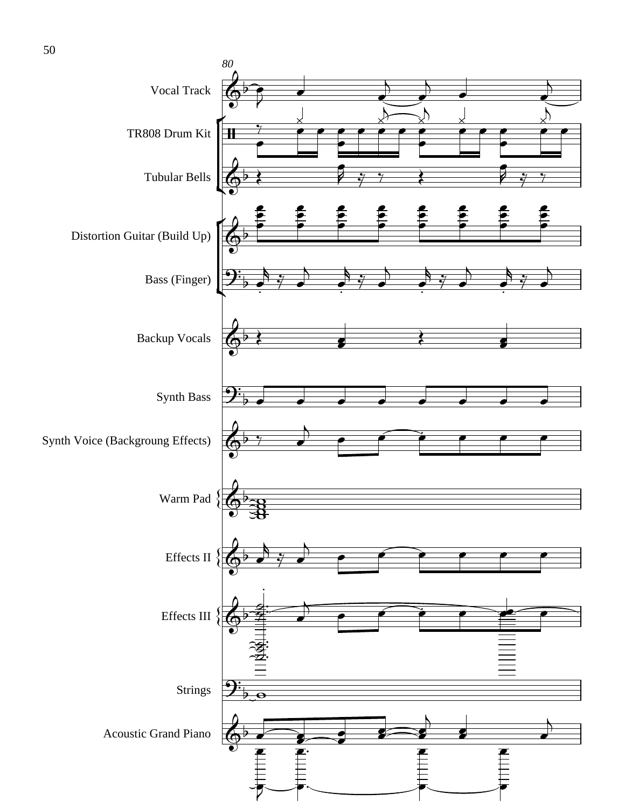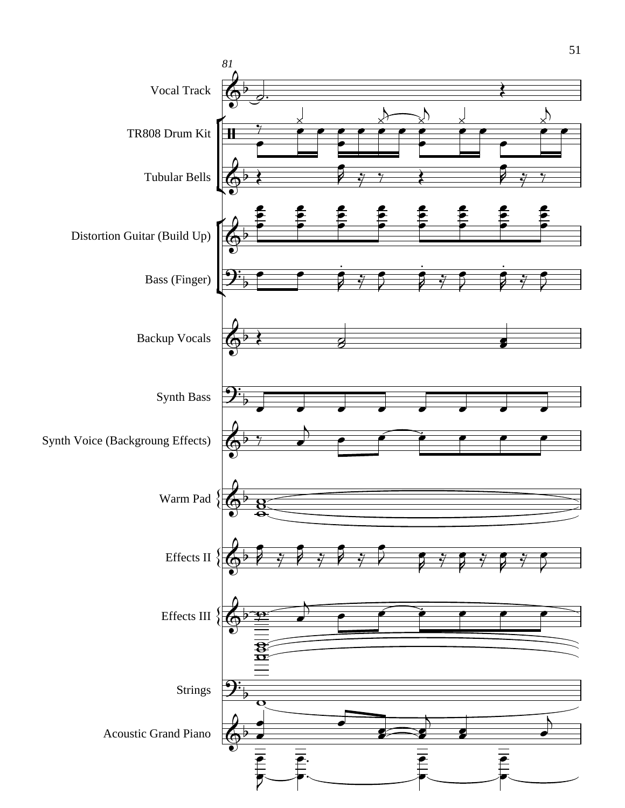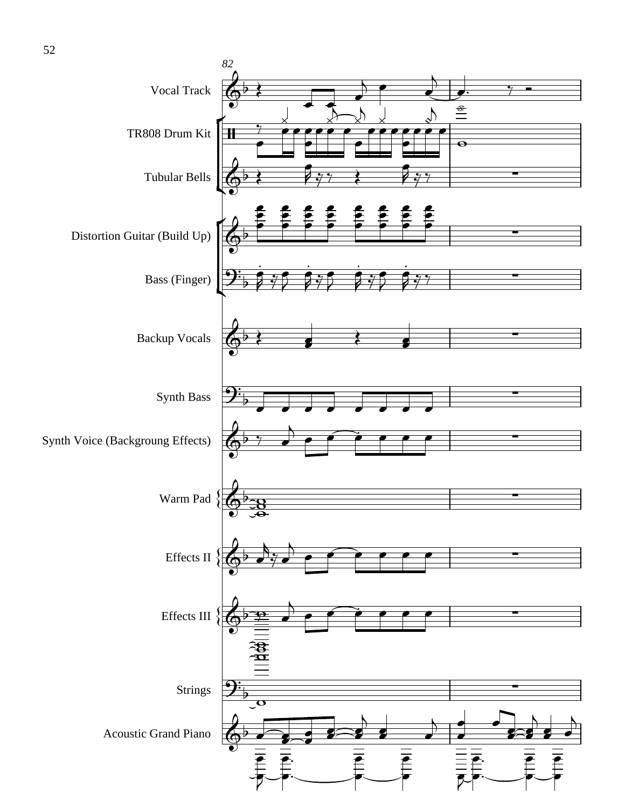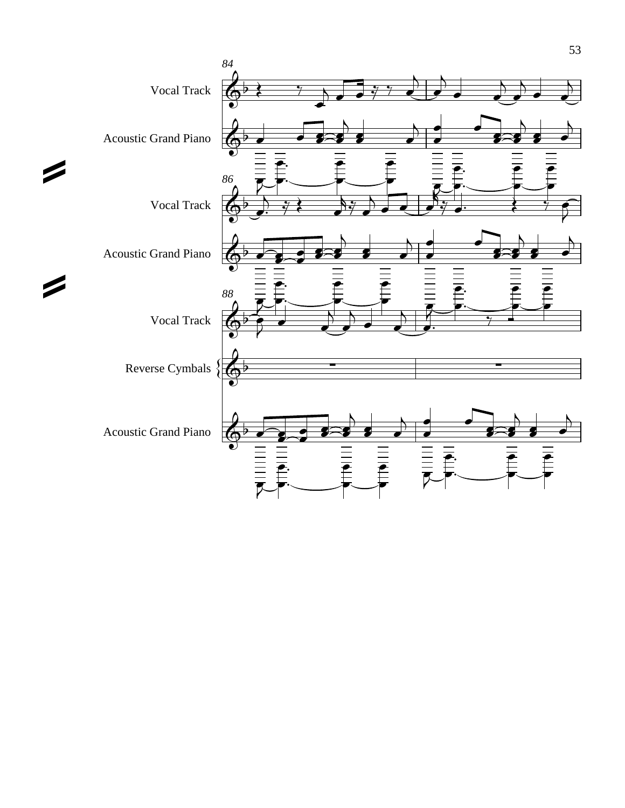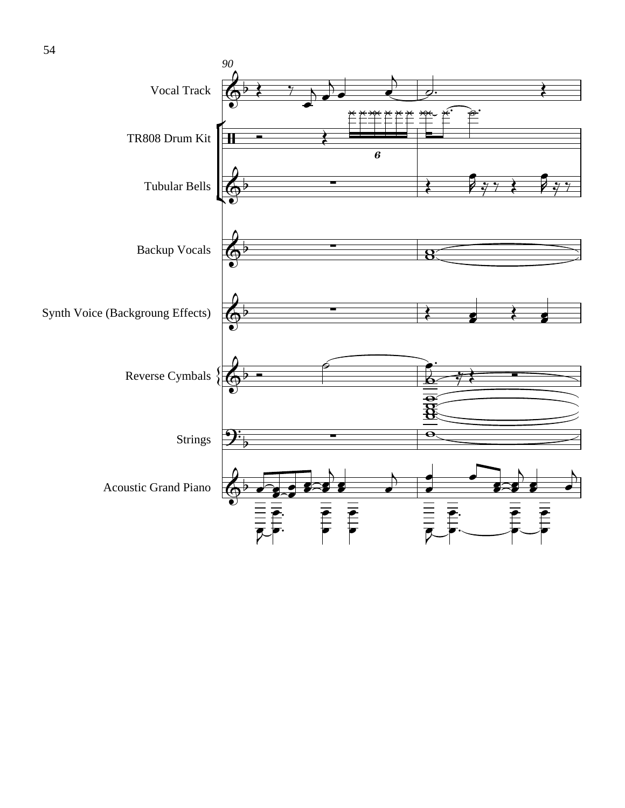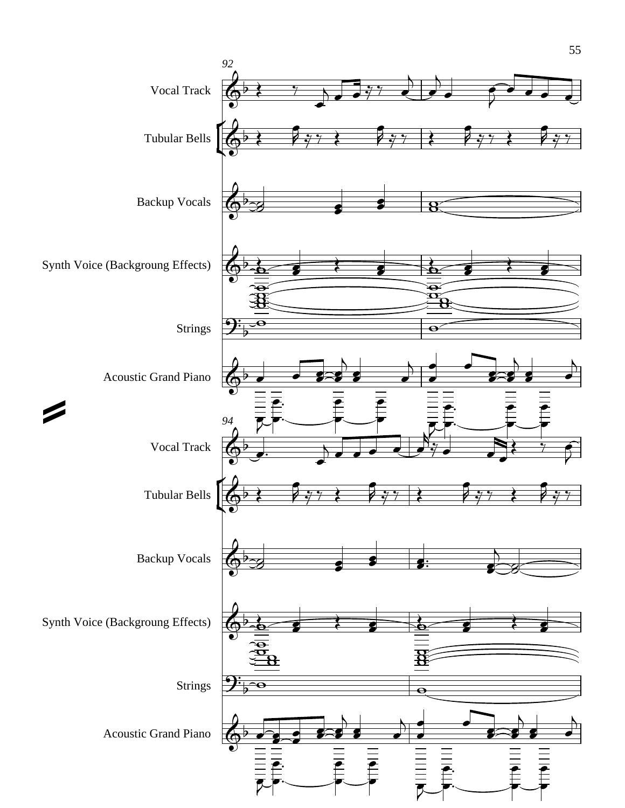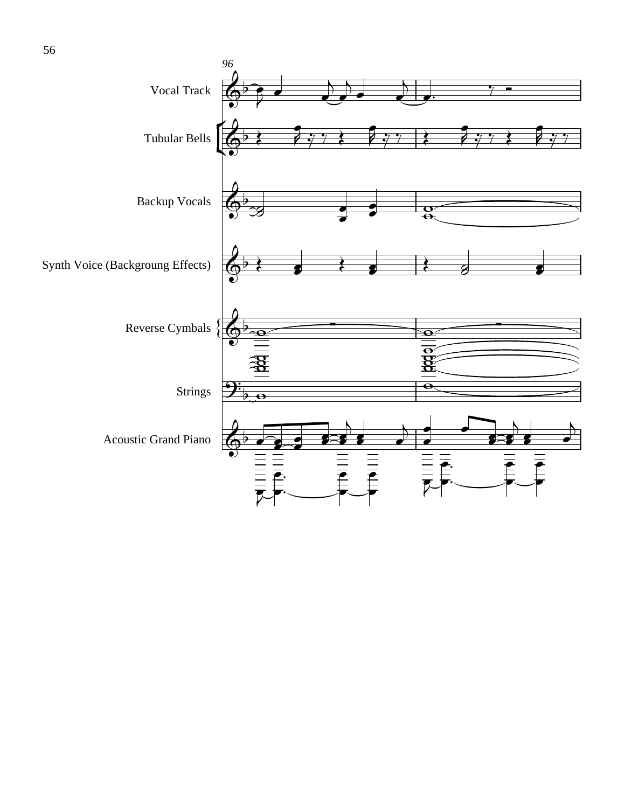